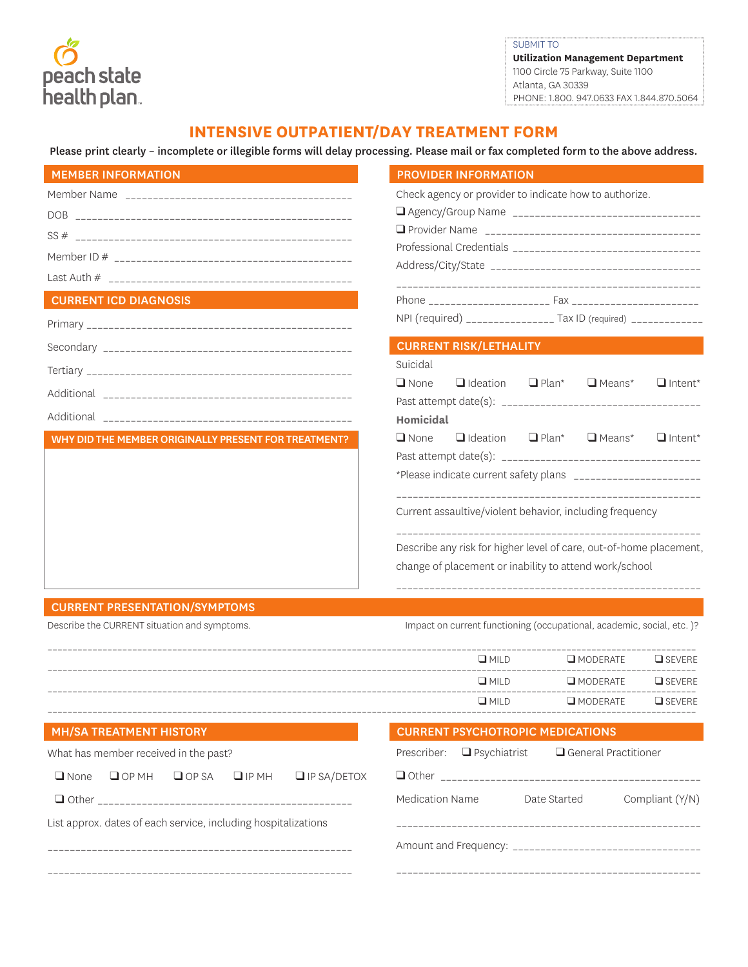peach state<br>health plan.

SUBMIT TO **Utilization Management Department**  1100 Circle 75 Parkway, Suite 1100 Atlanta, GA 30339 PHONE: 1.800. 947.0633 FAX 1.844.870.5064

## **INTENSIVE OUTPATIENT/DAY TREATMENT FORM**

Please print clearly – incomplete or illegible forms will delay processing. Please mail or fax completed form to the above address.

| <b>MEMBER INFORMATION</b>                            | <b>PROVIDER INFORMATION</b>                                                       |  |  |  |  |
|------------------------------------------------------|-----------------------------------------------------------------------------------|--|--|--|--|
|                                                      | Check agency or provider to indicate how to authorize.                            |  |  |  |  |
|                                                      |                                                                                   |  |  |  |  |
|                                                      |                                                                                   |  |  |  |  |
|                                                      |                                                                                   |  |  |  |  |
|                                                      |                                                                                   |  |  |  |  |
|                                                      |                                                                                   |  |  |  |  |
| <b>CURRENT ICD DIAGNOSIS</b>                         |                                                                                   |  |  |  |  |
|                                                      | NPI (required) ________________ Tax ID (required) ____________                    |  |  |  |  |
|                                                      | <b>CURRENT RISK/LETHALITY</b>                                                     |  |  |  |  |
|                                                      | Suicidal                                                                          |  |  |  |  |
|                                                      | $\Box$ None<br>$\Box$ Ideation<br>$\Box$ Plan* $\Box$ Means*<br>$\Box$ Intent*    |  |  |  |  |
|                                                      |                                                                                   |  |  |  |  |
|                                                      | Homicidal                                                                         |  |  |  |  |
| WHY DID THE MEMBER ORIGINALLY PRESENT FOR TREATMENT? | $\Box$ Plan*<br>$\Box$ Means*<br>$\Box$ None<br>$\Box$ Ideation<br>$\Box$ Intent* |  |  |  |  |
|                                                      |                                                                                   |  |  |  |  |
|                                                      | *Please indicate current safety plans ________________________                    |  |  |  |  |
|                                                      | Current assaultive/violent behavior, including frequency                          |  |  |  |  |
|                                                      | Describe any risk for higher level of care, out-of-home placement,                |  |  |  |  |
|                                                      | change of placement or inability to attend work/school                            |  |  |  |  |
| <b>CURRENT PRESENTATION/SYMPTOMS</b>                 |                                                                                   |  |  |  |  |
| Describe the CURRENT situation and symptoms.         | Impact on current functioning (occupational, academic, social, etc.)?             |  |  |  |  |

| $\Box$ MILD | $\Box$ MODERATE $\Box$ SEVERE |  |
|-------------|-------------------------------|--|
| $\Box$ MILD | $\Box$ MODERATE $\Box$ SEVERE |  |
| $\Box$ MILD | $\Box$ MODERATE $\Box$ SEVERE |  |

|  |  | <b>MH/SA TREATMENT HISTORY</b> |
|--|--|--------------------------------|
|  |  |                                |

| What has member received in the past?                          |              |                         |                    | Prescriber: $\Box$ Psychiatrist |  | $\Box$ General Practitioner |                 |
|----------------------------------------------------------------|--------------|-------------------------|--------------------|---------------------------------|--|-----------------------------|-----------------|
| $\Box$ None                                                    | $\Box$ OP MH | $\Box$ OPSA $\Box$ IPMH | $\Box$ IP SA/DETOX |                                 |  |                             |                 |
|                                                                |              |                         |                    | Medication Name                 |  | Date Started                | Compliant (Y/N) |
| List approx. dates of each service, including hospitalizations |              |                         |                    |                                 |  |                             |                 |
|                                                                |              |                         |                    |                                 |  |                             |                 |
|                                                                |              |                         |                    |                                 |  |                             |                 |

CURRENT PSYCHOTROPIC MEDICATIONS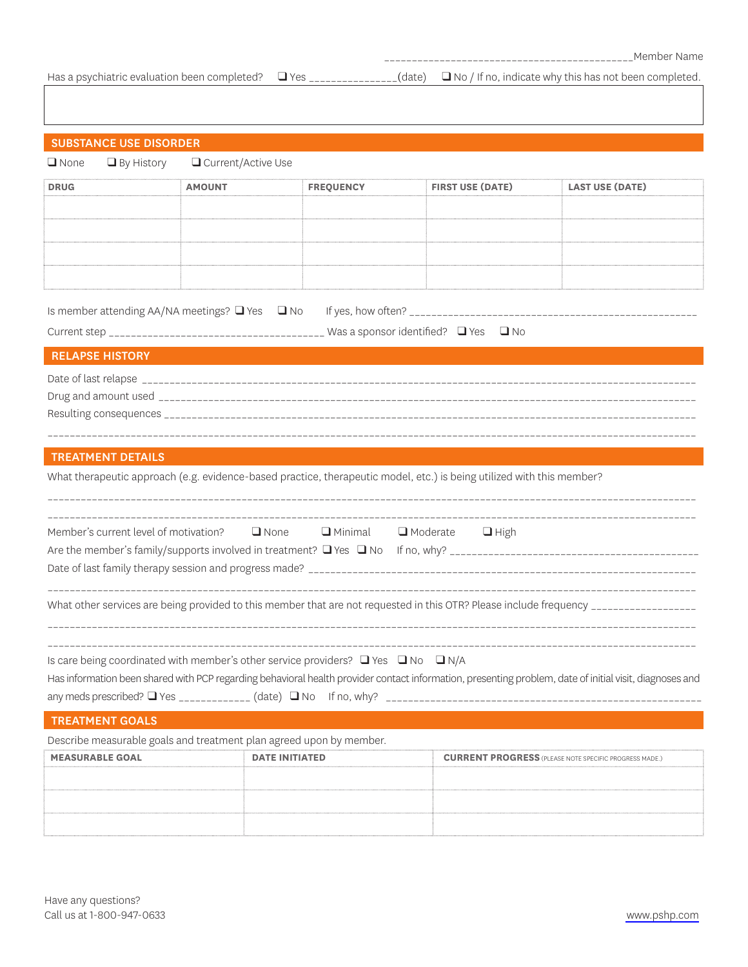Has a psychiatric evaluation been completed? ■ Yes \_\_\_\_\_\_\_\_\_\_\_\_\_\_(date) ■ No / If no, indicate why this has not been completed.

| <b>SUBSTANCE USE DISORDER</b>                                                                                                                           |                      |                       |                                                                                                                       |                                                                                                                                      |  |  |
|---------------------------------------------------------------------------------------------------------------------------------------------------------|----------------------|-----------------------|-----------------------------------------------------------------------------------------------------------------------|--------------------------------------------------------------------------------------------------------------------------------------|--|--|
| $\Box$ None<br>$\Box$ By History                                                                                                                        | □ Current/Active Use |                       |                                                                                                                       |                                                                                                                                      |  |  |
| <b>DRUG</b>                                                                                                                                             | <b>AMOUNT</b>        | <b>FREQUENCY</b>      | <b>FIRST USE (DATE)</b>                                                                                               | <b>LAST USE (DATE)</b>                                                                                                               |  |  |
|                                                                                                                                                         |                      |                       |                                                                                                                       |                                                                                                                                      |  |  |
|                                                                                                                                                         |                      |                       |                                                                                                                       |                                                                                                                                      |  |  |
|                                                                                                                                                         |                      |                       |                                                                                                                       |                                                                                                                                      |  |  |
|                                                                                                                                                         |                      |                       |                                                                                                                       |                                                                                                                                      |  |  |
|                                                                                                                                                         |                      |                       |                                                                                                                       |                                                                                                                                      |  |  |
| Is member attending AA/NA meetings? $\Box$ Yes $\Box$ No                                                                                                |                      |                       |                                                                                                                       |                                                                                                                                      |  |  |
|                                                                                                                                                         |                      |                       |                                                                                                                       |                                                                                                                                      |  |  |
| <b>RELAPSE HISTORY</b>                                                                                                                                  |                      |                       |                                                                                                                       |                                                                                                                                      |  |  |
|                                                                                                                                                         |                      |                       |                                                                                                                       |                                                                                                                                      |  |  |
|                                                                                                                                                         |                      |                       |                                                                                                                       |                                                                                                                                      |  |  |
|                                                                                                                                                         |                      |                       |                                                                                                                       |                                                                                                                                      |  |  |
|                                                                                                                                                         |                      |                       |                                                                                                                       |                                                                                                                                      |  |  |
| <b>TREATMENT DETAILS</b>                                                                                                                                |                      |                       |                                                                                                                       |                                                                                                                                      |  |  |
|                                                                                                                                                         |                      |                       | What therapeutic approach (e.g. evidence-based practice, therapeutic model, etc.) is being utilized with this member? |                                                                                                                                      |  |  |
|                                                                                                                                                         |                      |                       |                                                                                                                       |                                                                                                                                      |  |  |
| Member's current level of motivation?<br><b> Q</b> None <b>Q</b> Minimal <b>Q</b> Moderate  Q High                                                      |                      |                       |                                                                                                                       |                                                                                                                                      |  |  |
|                                                                                                                                                         |                      |                       |                                                                                                                       |                                                                                                                                      |  |  |
|                                                                                                                                                         |                      |                       |                                                                                                                       |                                                                                                                                      |  |  |
|                                                                                                                                                         |                      |                       |                                                                                                                       |                                                                                                                                      |  |  |
|                                                                                                                                                         |                      |                       |                                                                                                                       | What other services are being provided to this member that are not requested in this OTR? Please include frequency _________________ |  |  |
|                                                                                                                                                         |                      |                       |                                                                                                                       |                                                                                                                                      |  |  |
|                                                                                                                                                         |                      |                       |                                                                                                                       |                                                                                                                                      |  |  |
| Is care being coordinated with member's other service providers? $\Box$ Yes $\Box$ No $\Box$ N/A                                                        |                      |                       |                                                                                                                       |                                                                                                                                      |  |  |
| Has information been shared with PCP regarding behavioral health provider contact information, presenting problem, date of initial visit, diagnoses and |                      |                       |                                                                                                                       |                                                                                                                                      |  |  |
| <b>TREATMENT GOALS</b>                                                                                                                                  |                      |                       |                                                                                                                       |                                                                                                                                      |  |  |
| Describe measurable goals and treatment plan agreed upon by member.                                                                                     |                      |                       |                                                                                                                       |                                                                                                                                      |  |  |
| <b>MEASURABLE GOAL</b>                                                                                                                                  |                      | <b>DATE INITIATED</b> |                                                                                                                       | <b>CURRENT PROGRESS</b> (PLEASE NOTE SPECIFIC PROGRESS MADE.)                                                                        |  |  |
|                                                                                                                                                         |                      |                       |                                                                                                                       |                                                                                                                                      |  |  |
|                                                                                                                                                         |                      |                       |                                                                                                                       |                                                                                                                                      |  |  |
|                                                                                                                                                         |                      |                       |                                                                                                                       |                                                                                                                                      |  |  |